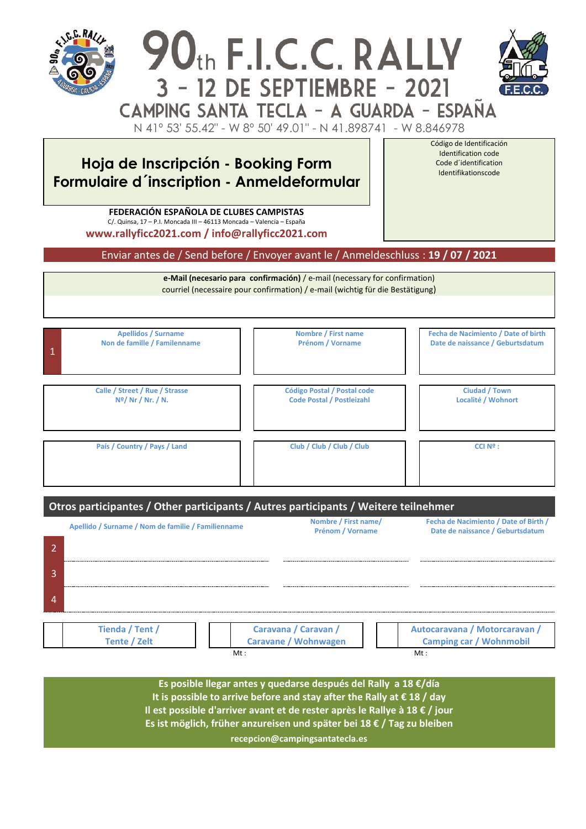

Identifikationscode

**Hoja de Inscripción - Booking Form Formulaire d´inscription - Anmeldeformular**

> **FEDERACIÓN ESPAÑOLA DE CLUBES CAMPISTAS** C/. Quinsa, 17 – P.I. Moncada III – 46113 Moncada – Valencia – España **[www.rallyficc2021.com](http://www.rallyficc2021.com/) / info@rallyficc2021.com**

Enviar antes de / Send before / Envoyer avant le / Anmeldeschluss : **19 / 07 / 2021**

**e-Mail (necesario para confirmación)** / e-mail (necessary for confirmation) courriel (necessaire pour confirmation) / e-mail (wichtig für die Bestätigung)

| $\overline{1}$                 | <b>Apellidos / Surname</b>   | Nombre / First name                | Fecha de Nacimiento / Date of birth |
|--------------------------------|------------------------------|------------------------------------|-------------------------------------|
|                                | Non de famille / Familenname | Prénom / Vorname                   | Date de naissance / Geburtsdatum    |
| Calle / Street / Rue / Strasse |                              | <b>Código Postal / Postal code</b> | <b>Ciudad / Town</b>                |
| N <sup>o</sup> /Nr / Nr. / N.  |                              | <b>Code Postal / Postleizahl</b>   | Localité / Wohnort                  |
| País / Country / Pays / Land   |                              | Club / Club / Club / Club          | $CCI$ $N^{\circ}$ :                 |

| Otros participantes / Other participants / Autres participants / Weitere teilnehmer |                                                    |                                                     |                                                                           |  |  |  |
|-------------------------------------------------------------------------------------|----------------------------------------------------|-----------------------------------------------------|---------------------------------------------------------------------------|--|--|--|
|                                                                                     | Apellido / Surname / Nom de familie / Familienname | Nombre / First name/<br><b>Prénom / Vorname</b>     | Fecha de Nacimiento / Date of Birth /<br>Date de naissance / Geburtsdatum |  |  |  |
|                                                                                     |                                                    |                                                     |                                                                           |  |  |  |
| 3                                                                                   |                                                    |                                                     |                                                                           |  |  |  |
|                                                                                     |                                                    |                                                     |                                                                           |  |  |  |
|                                                                                     | Tienda / Tent /<br><b>Tente / Zelt</b><br>Mt:      | Caravana / Caravan /<br><b>Caravane / Wohnwagen</b> | Autocaravana / Motorcaravan /<br><b>Camping car / Wohnmobil</b><br>Mt:    |  |  |  |

**Es posible llegar antes y quedarse después del Rally a 18 €/día It is possible to arrive before and stay after the Rally at € 18 / day Il est possible d'arriver avant et de rester après le Rallye à 18 € / jour Es ist möglich, früher anzureisen und später bei 18 € / Tag zu bleiben recepcion@campingsantatecla.es**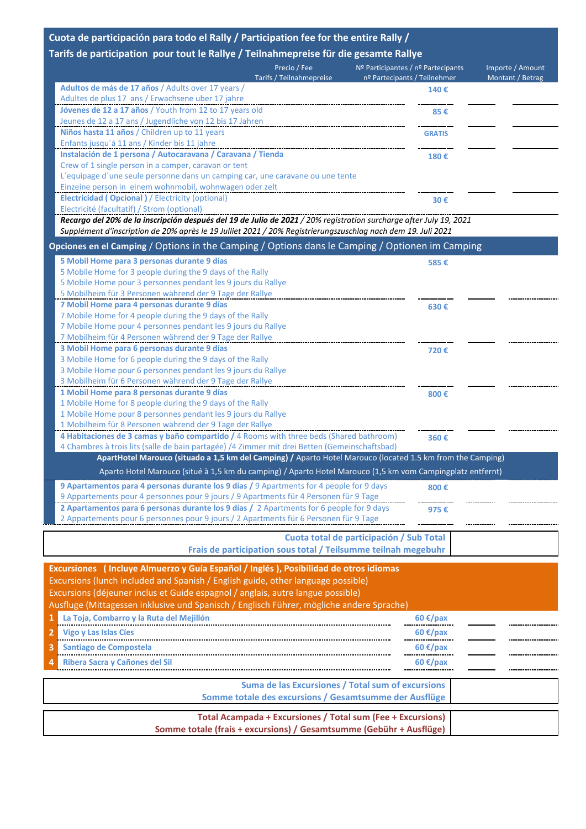### **Cuota de participación para todo el Rally / Participation fee for the entire Rally /**

# **Tarifs de participation pour tout le Rallye / Teilnahmepreise für die gesamte Rallye**

|                                                                                                                                                                                                                                           | Precio / Fee<br>Tarifs / Teilnahmepreise | Nº Participantes / nº Partecipants<br>nº Partecipants / Teilnehmer | Importe / Amount<br>Montant / Betrag |
|-------------------------------------------------------------------------------------------------------------------------------------------------------------------------------------------------------------------------------------------|------------------------------------------|--------------------------------------------------------------------|--------------------------------------|
| Adultos de más de 17 años / Adults over 17 years /                                                                                                                                                                                        |                                          | 140€                                                               |                                      |
| Adultes de plus 17 ans / Erwachsene uber 17 jahre                                                                                                                                                                                         |                                          |                                                                    |                                      |
| Jóvenes de 12 a 17 años / Youth from 12 to 17 years old                                                                                                                                                                                   |                                          | 85€                                                                |                                      |
| Jeunes de 12 a 17 ans / Jugendliche von 12 bis 17 Jahren                                                                                                                                                                                  |                                          |                                                                    |                                      |
| Niños hasta 11 años / Children up to 11 years                                                                                                                                                                                             |                                          | <b>GRATIS</b>                                                      |                                      |
| Enfants jusqu'á 11 ans / Kinder bis 11 jahre                                                                                                                                                                                              |                                          |                                                                    |                                      |
| Instalación de 1 persona / Autocaravana / Caravana / Tienda                                                                                                                                                                               |                                          | 180€                                                               |                                      |
| Crew of 1 single person in a camper, caravan or tent                                                                                                                                                                                      |                                          |                                                                    |                                      |
| L'equipage d'une seule personne dans un camping car, une caravane ou une tente                                                                                                                                                            |                                          |                                                                    |                                      |
| Einzeine person in einem wohnmobil, wohnwagen oder zelt                                                                                                                                                                                   |                                          |                                                                    |                                      |
| <b>Electricidad (Opcional)</b> / Electricity (optional)                                                                                                                                                                                   |                                          | 30€                                                                |                                      |
| Electricité (facultatif) / Strom (optional)                                                                                                                                                                                               |                                          |                                                                    |                                      |
| Recargo del 20% de la inscripción después del 19 de Julio de 2021 / 20% registration surcharge after July 19, 2021<br>Supplément d'inscription de 20% après le 19 Julliet 2021 / 20% Registrierungszuschlag nach dem 19. Juli 2021        |                                          |                                                                    |                                      |
| Opciones en el Camping / Options in the Camping / Options dans le Camping / Optionen im Camping                                                                                                                                           |                                          |                                                                    |                                      |
| 5 Mobil Home para 3 personas durante 9 días                                                                                                                                                                                               |                                          | 585€                                                               |                                      |
| 5 Mobile Home for 3 people during the 9 days of the Rally                                                                                                                                                                                 |                                          |                                                                    |                                      |
| 5 Mobile Home pour 3 personnes pendant les 9 jours du Rallye                                                                                                                                                                              |                                          |                                                                    |                                      |
| 5 Mobilheim für 3 Personen während der 9 Tage der Rallye                                                                                                                                                                                  |                                          |                                                                    |                                      |
| 7 Mobil Home para 4 personas durante 9 días                                                                                                                                                                                               |                                          | 630€                                                               |                                      |
| 7 Mobile Home for 4 people during the 9 days of the Rally                                                                                                                                                                                 |                                          |                                                                    |                                      |
| 7 Mobile Home pour 4 personnes pendant les 9 jours du Rallye                                                                                                                                                                              |                                          |                                                                    |                                      |
| $\mathbf{r} \cdot \mathbf{m}$ , and the set of the set of the set of the set of the set of the set of the set of the set of the set of the set of the set of the set of the set of the set of the set of the set of the set of the set of |                                          |                                                                    |                                      |

7 Mobilheim für 4 Personen während der 9 Tage der Rallye

| 3 Mobil Home para 6 personas durante 9 días                                                                | 720€ |
|------------------------------------------------------------------------------------------------------------|------|
| 3 Mobile Home for 6 people during the 9 days of the Rally                                                  |      |
| 3 Mobile Home pour 6 personnes pendant les 9 jours du Rallye                                               |      |
| 3 Mobilheim für 6 Personen während der 9 Tage der Rallye                                                   |      |
| 1 Mobil Home para 8 personas durante 9 días                                                                | 800€ |
| 1 Mobile Home for 8 people during the 9 days of the Rally                                                  |      |
| 1 Mobile Home pour 8 personnes pendant les 9 jours du Rallye                                               |      |
| 1 Mobilheim für 8 Personen während der 9 Tage der Rallye                                                   |      |
| 4 Habitaciones de 3 camas y baño compartido / 4 Rooms with three beds (Shared bathroom)                    | 360€ |
| 4 Chambres à trois lits (salle de bain partagée) /4 Zimmer mit drei Betten (Gemeinschaftsbad)              |      |
| ApartHotel Marouco (situado a 1,5 km del Camping) / Aparto Hotel Marouco (located 1.5 km from the Camping) |      |
| Aparto Hotel Marouco (situé à 1,5 km du camping) / Aparto Hotel Marouco (1,5 km vom Campingplatz entfernt) |      |
| 9 Apartamentos para 4 personas durante los 9 días / 9 Apartments for 4 people for 9 days                   | 800€ |
| 9 Appartements pour 4 personnes pour 9 jours / 9 Apartments für 4 Personen für 9 Tage                      |      |
| 2 Apartamentos para 6 personas durante los 9 días / 2 Apartments for 6 people for 9 days                   | 975€ |

**2 Apartamentos para 6 personas durante los 9 días /** 2 Apartments for 6 people for 9 days 2 Appartements pour 6 personnes pour 9 jours / 2 Apartments für 6 Personen für 9 Tage

# **Cuota total de participación / Sub Total Frais de participation sous total / Teilsumme teilnah megebuhr**

|                | Excursiones (Incluye Almuerzo y Guía Español / Inglés), Posibilidad de otros idiomas<br>Excursions (lunch included and Spanish / English guide, other language possible)<br>Excursions (déjeuner inclus et Guide espagnol / anglais, autre langue possible)<br>Ausfluge (Mittagessen inklusive und Spanisch / Englisch Führer, mögliche andere Sprache) |                                                                                                                                                                                                                                                                                                                                                                                                                                                                                                                                                                                                                                                   |  |
|----------------|---------------------------------------------------------------------------------------------------------------------------------------------------------------------------------------------------------------------------------------------------------------------------------------------------------------------------------------------------------|---------------------------------------------------------------------------------------------------------------------------------------------------------------------------------------------------------------------------------------------------------------------------------------------------------------------------------------------------------------------------------------------------------------------------------------------------------------------------------------------------------------------------------------------------------------------------------------------------------------------------------------------------|--|
|                | 1 La Toja, Combarro y la Ruta del Mejillón                                                                                                                                                                                                                                                                                                              | 60 €/pax                                                                                                                                                                                                                                                                                                                                                                                                                                                                                                                                                                                                                                          |  |
|                | 2 Vigo y Las Islas Cíes                                                                                                                                                                                                                                                                                                                                 | 60 €/pax                                                                                                                                                                                                                                                                                                                                                                                                                                                                                                                                                                                                                                          |  |
| 3              | Santiago de Compostela                                                                                                                                                                                                                                                                                                                                  | 60 €/pax                                                                                                                                                                                                                                                                                                                                                                                                                                                                                                                                                                                                                                          |  |
| $\overline{4}$ | <b>Ribera Sacra y Cañones del Sil</b>                                                                                                                                                                                                                                                                                                                   | 60 €/pax                                                                                                                                                                                                                                                                                                                                                                                                                                                                                                                                                                                                                                          |  |
|                |                                                                                                                                                                                                                                                                                                                                                         | <b>Suma de las Excursiones / Total sum of excursions</b><br>Somme totale des excursions / Gesamtsumme der Ausflüge<br>Total Acampada + Excursiones / Total sum (Fee + Excursions)<br>$\mathcal{L} = \mathcal{L} = \mathcal{L} = \mathcal{L} = \mathcal{L} = \mathcal{L} = \mathcal{L} = \mathcal{L} = \mathcal{L} = \mathcal{L} = \mathcal{L} = \mathcal{L} = \mathcal{L} = \mathcal{L} = \mathcal{L} = \mathcal{L} = \mathcal{L} = \mathcal{L} = \mathcal{L} = \mathcal{L} = \mathcal{L} = \mathcal{L} = \mathcal{L} = \mathcal{L} = \mathcal{L} = \mathcal{L} = \mathcal{L} = \mathcal{L} = \mathcal{L} = \mathcal{L} = \mathcal{L} = \mathcal$ |  |

..............

 $\sim$ 

**Somme totale (frais + excursions) / Gesamtsumme (Gebühr + Ausflüge)**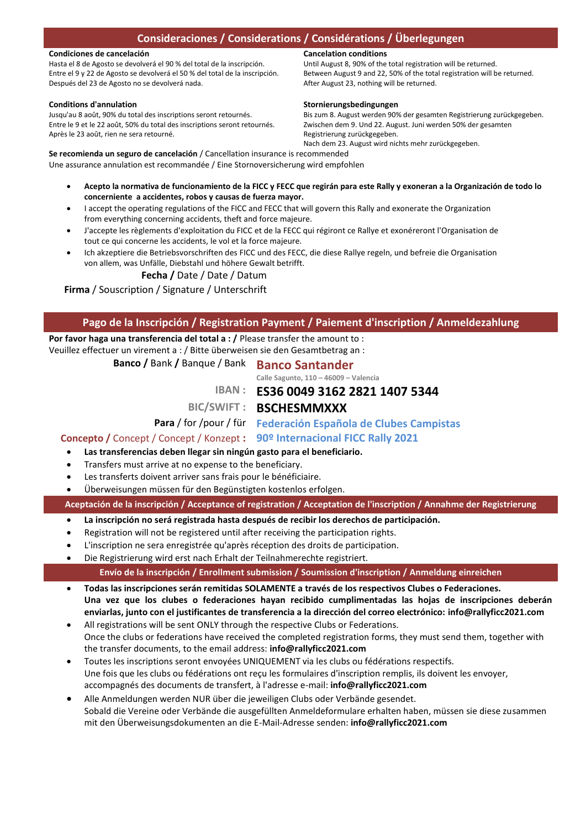#### **Condiciones de cancelación**

Hasta el 8 de Agosto se devolverá el 90 % del total de la inscripción. Entre el 9 y 22 de Agosto se devolverá el 50 % del total de la inscripción. Después del 23 de Agosto no se devolverá nada.

#### **Conditions d'annulation**

Jusqu'au 8 août, 90% du total des inscriptions seront retournés. Entre le 9 et le 22 août, 50% du total des inscriptions seront retournés. Après le 23 août, rien ne sera retourné.

#### **Cancelation conditions**

Until August 8, 90% of the total registration will be returned. Between August 9 and 22, 50% of the total registration will be returned. After August 23, nothing will be returned.

#### **Stornierungsbedingungen**

Bis zum 8. August werden 90% der gesamten Registrierung zurückgegeben. Zwischen dem 9. Und 22. August. Juni werden 50% der gesamten Registrierung zurückgegeben. Nach dem 23. August wird nichts mehr zurückgegeben.

**Se recomienda un seguro de cancelación** / Cancellation insurance is recommended Une assurance annulation est recommandée / Eine Stornoversicherung wird empfohlen

- **Acepto la normativa de funcionamiento de la FICC y FECC que regirán para este Rally y exoneran a la Organización de todo lo concerniente a accidentes, robos y causas de fuerza mayor.**
- I accept the operating regulations of the FICC and FECC that will govern this Rally and exonerate the Organization from everything concerning accidents, theft and force majeure.
- J'accepte les règlements d'exploitation du FICC et de la FECC qui régiront ce Rallye et exonéreront l'Organisation de tout ce qui concerne les accidents, le vol et la force majeure.
- Ich akzeptiere die Betriebsvorschriften des FICC und des FECC, die diese Rallye regeln, und befreie die Organisation von allem, was Unfälle, Diebstahl und höhere Gewalt betrifft.

# **Fecha /** Date / Date / Datum

**Firma** / Souscription / Signature / Unterschrift

# **Pago de la Inscripción / Registration Payment / Paiement d'inscription / Anmeldezahlung**

**Por favor haga una transferencia del total a : /** Please transfer the amount to :

Veuillez effectuer un virement a : / Bitte überweisen sie den Gesamtbetrag an :

# **Banco /** Bank **/** Banque / Bank **Banco Santander**

**Calle Sagunto, 110 – 46009 – Valencia**

**IBAN : ES36 0049 3162 2821 1407 5344**

# **BIC/SWIFT : BSCHESMMXXX**

**Para** / for /pour / für **Federación Española de Clubes Campistas**

**Concepto /** Concept / Concept / Konzept **: 90º Internacional FICC Rally 2021**

### **Las transferencias deben llegar sin ningún gasto para el beneficiario.**

- Transfers must arrive at no expense to the beneficiary.
- Les transferts doivent arriver sans frais pour le bénéficiaire.
- Überweisungen müssen für den Begünstigten kostenlos erfolgen.

**Aceptación de la inscripción / Acceptance of registration / Acceptation de l'inscription / Annahme der Registrierung**

- **La inscripción no será registrada hasta después de recibir los derechos de participación.**
- Registration will not be registered until after receiving the participation rights.
- L'inscription ne sera enregistrée qu'après réception des droits de participation.
- Die Registrierung wird erst nach Erhalt der Teilnahmerechte registriert.

### **Envío de la inscripción / Enrollment submission / Soumission d'inscription / Anmeldung einreichen**

 **Todas las inscripciones serán remitidas SOLAMENTE a través de los respectivos Clubes o Federaciones. Una vez que los clubes o federaciones hayan recibido cumplimentadas las hojas de inscripciones deberán enviarlas, junto con el justificantes de transferencia a la dirección del correo electrónico: [info@rallyficc2021.com](mailto:info@rallyficc2021.com)**

- All registrations will be sent ONLY through the respective Clubs or Federations. Once the clubs or federations have received the completed registration forms, they must send them, together with the transfer documents, to the email address: **[info@rallyficc2021.com](mailto:info@rallyficc2021.com)**
- Toutes les inscriptions seront envoyées UNIQUEMENT via les clubs ou fédérations respectifs. Une fois que les clubs ou fédérations ont reçu les formulaires d'inscription remplis, ils doivent les envoyer, accompagnés des documents de transfert, à l'adresse e-mail: **[info@rallyficc2021.com](mailto:info@rallyficc2021.com)**
- Alle Anmeldungen werden NUR über die jeweiligen Clubs oder Verbände gesendet. Sobald die Vereine oder Verbände die ausgefüllten Anmeldeformulare erhalten haben, müssen sie diese zusammen mit den Überweisungsdokumenten an die E-Mail-Adresse senden: **info@rallyficc2021.com**